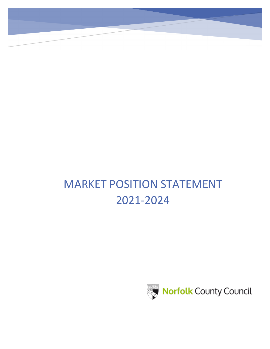# MARKET POSITION STATEMENT 2021-2024

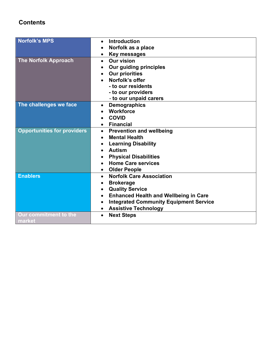## **Contents**

| Norfolk's MPS                      | <b>Introduction</b><br>$\bullet$                          |
|------------------------------------|-----------------------------------------------------------|
|                                    | Norfolk as a place                                        |
|                                    | <b>Key messages</b>                                       |
| <b>The Norfolk Approach</b>        | <b>Our vision</b><br>$\bullet$                            |
|                                    | Our guiding principles                                    |
|                                    | <b>Our priorities</b>                                     |
|                                    | Norfolk's offer                                           |
|                                    | - to our residents                                        |
|                                    |                                                           |
|                                    | - to our providers                                        |
|                                    | - to our unpaid carers                                    |
| The challenges we face             | <b>Demographics</b><br>$\bullet$                          |
|                                    | <b>Workforce</b>                                          |
|                                    | <b>COVID</b>                                              |
|                                    | <b>Financial</b>                                          |
| <b>Opportunities for providers</b> | <b>Prevention and wellbeing</b><br>$\bullet$              |
|                                    | <b>Mental Health</b><br>$\bullet$                         |
|                                    | <b>Learning Disability</b>                                |
|                                    | <b>Autism</b>                                             |
|                                    | <b>Physical Disabilities</b>                              |
|                                    | <b>Home Care services</b>                                 |
|                                    | <b>Older People</b>                                       |
| <b>Enablers</b>                    | <b>Norfolk Care Association</b><br>$\bullet$              |
|                                    | <b>Brokerage</b><br>$\bullet$                             |
|                                    | <b>Quality Service</b><br>$\bullet$                       |
|                                    | <b>Enhanced Health and Wellbeing in Care</b><br>$\bullet$ |
|                                    | <b>Integrated Community Equipment Service</b>             |
|                                    | <b>Assistive Technology</b><br>$\bullet$                  |
| Our commitment to the              | <b>Next Steps</b><br>$\bullet$                            |
| market                             |                                                           |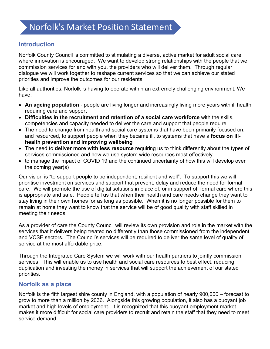## Norfolk's Market Position Statement

## **Introduction**

Norfolk County Council is committed to stimulating a diverse, active market for adult social care where innovation is encouraged. We want to develop strong relationships with the people that we commission services for and with you, the providers who will deliver them. Through regular dialogue we will work together to reshape current services so that we can achieve our stated priorities and improve the outcomes for our residents.

Like all authorities, Norfolk is having to operate within an extremely challenging environment. We have:

- **An ageing population** people are living longer and increasingly living more years with ill health requiring care and support
- **Difficulties in the recruitment and retention of a social care workforce** with the skills, competencies and capacity needed to deliver the care and support that people require
- The need to change from health and social care systems that have been primarily focused on, and resourced, to support people when they became ill, to systems that have a **focus on illhealth prevention and improving wellbeing**
- The need to **deliver more with less resource** requiring us to think differently about the types of services commissioned and how we use system wide resources most effectively
- to manage the impact of COVID 19 and the continued uncertainty of how this will develop over the coming year(s)

Our vision is "to support people to be independent, resilient and well". To support this we will prioritise investment on services and support that prevent, delay and reduce the need for formal care. We will promote the use of digital solutions in place of, or in support of, formal care where this is appropriate and safe. People tell us that when their health and care needs change they want to stay living in their own homes for as long as possible. When it is no longer possible for them to remain at home they want to know that the service will be of good quality with staff skilled in meeting their needs.

As a provider of care the County Council will review its own provision and role in the market with the services that it delivers being treated no differently than those commissioned from the independent and VCSE sectors. The Council's services will be required to deliver the same level of quality of service at the most affordable price.

Through the Integrated Care System we will work with our health partners to jointly commission services. This will enable us to use health and social care resources to best effect, reducing duplication and investing the money in services that will support the achievement of our stated priorities.

## **Norfolk as a place**

Norfolk is the fifth largest shire county in England, with a population of nearly 900,000 – forecast to grow to more than a million by 2036. Alongside this growing population, it also has a buoyant job market and high levels of employment. It is recognized that this buoyant employment market makes it more difficult for social care providers to recruit and retain the staff that they need to meet service demand.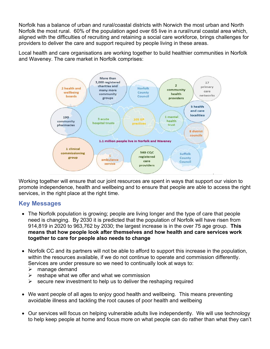Norfolk has a balance of urban and rural/coastal districts with Norwich the most urban and North Norfolk the most rural. 60% of the population aged over 65 live in a rural/rural coastal area which, aligned with the difficulties of recruiting and retaining a social care workforce, brings challenges for providers to deliver the care and support required by people living in these areas.

Local health and care organisations are working together to build healthier communities in Norfolk and Waveney. The care market in Norfolk comprises:



Working together will ensure that our joint resources are spent in ways that support our vision to promote independence, health and wellbeing and to ensure that people are able to access the right services, in the right place at the right time.

## **Key Messages**

- The Norfolk population is growing; people are living longer and the type of care that people need is changing. By 2030 it is predicted that the population of Norfolk will have risen from 914,819 in 2020 to 963,762 by 2030; the largest increase is in the over 75 age group. **This means that how people look after themselves and how health and care services work together to care for people also needs to change**
- Norfolk CC and its partners will not be able to afford to support this increase in the population, within the resources available, if we do not continue to operate and commission differently. Services are under pressure so we need to continually look at ways to:
	- $\triangleright$  manage demand
	- $\triangleright$  reshape what we offer and what we commission
	- $\triangleright$  secure new investment to help us to deliver the reshaping required
- We want people of all ages to enjoy good health and wellbeing. This means preventing avoidable illness and tackling the root causes of poor health and wellbeing
- Our services will focus on helping vulnerable adults live independently. We will use technology to help keep people at home and focus more on what people can do rather than what they can't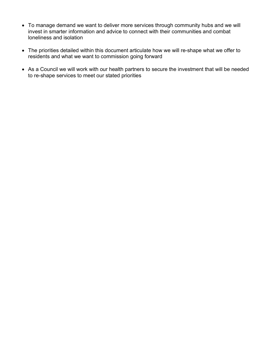- To manage demand we want to deliver more services through community hubs and we will invest in smarter information and advice to connect with their communities and combat loneliness and isolation
- The priorities detailed within this document articulate how we will re-shape what we offer to residents and what we want to commission going forward
- As a Council we will work with our health partners to secure the investment that will be needed to re-shape services to meet our stated priorities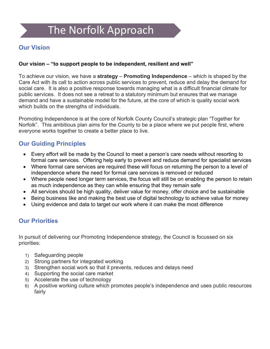# The Norfolk Approach

## **Our Vision**

#### **Our vision – "to support people to be independent, resilient and well"**

To achieve our vision, we have a **strategy** – **Promoting Independence** – which is shaped by the Care Act with its call to action across public services to prevent, reduce and delay the demand for social care. It is also a positive response towards managing what is a difficult financial climate for public services. It does not see a retreat to a statutory minimum but ensures that we manage demand and have a sustainable model for the future, at the core of which is quality social work which builds on the strengths of individuals.

Promoting Independence is at the core of Norfolk County Council's strategic plan "Together for Norfolk". This ambitious plan aims for the County to be a place where we put people first, where everyone works together to create a better place to live.

## **Our Guiding Principles**

- Every effort will be made by the Council to meet a person's care needs without resorting to formal care services. Offering help early to prevent and reduce demand for specialist services
- Where formal care services are required these will focus on returning the person to a level of independence where the need for formal care services is removed or reduced
- Where people need longer term services, the focus will still be on enabling the person to retain as much independence as they can while ensuring that they remain safe
- All services should be high quality, deliver value for money, offer choice and be sustainable
- Being business like and making the best use of digital technology to achieve value for money
- Using evidence and data to target our work where it can make the most difference

## **Our Priorities**

In pursuit of delivering our Promoting Independence strategy, the Council is focussed on six priorities:

- 1) Safeguarding people
- 2) Strong partners for integrated working
- 3) Strengthen social work so that it prevents, reduces and delays need
- 4) Supporting the social care market
- 5) Accelerate the use of technology
- 6) A positive working culture which promotes people's independence and uses public resources fairly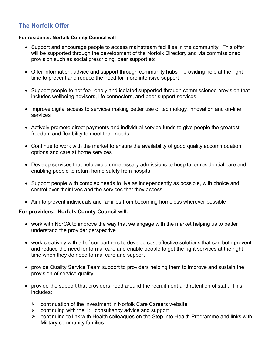## **The Norfolk Offer**

#### **For residents: Norfolk County Council will**

- Support and encourage people to access mainstream facilities in the community. This offer will be supported through the development of the Norfolk Directory and via commissioned provision such as social prescribing, peer support etc
- Offer information, advice and support through community hubs providing help at the right time to prevent and reduce the need for more intensive support
- Support people to not feel lonely and isolated supported through commissioned provision that includes wellbeing advisors, life connectors, and peer support services
- Improve digital access to services making better use of technology, innovation and on-line services
- Actively promote direct payments and individual service funds to give people the greatest freedom and flexibility to meet their needs
- Continue to work with the market to ensure the availability of good quality accommodation options and care at home services
- Develop services that help avoid unnecessary admissions to hospital or residential care and enabling people to return home safely from hospital
- Support people with complex needs to live as independently as possible, with choice and control over their lives and the services that they access
- Aim to prevent individuals and families from becoming homeless wherever possible

#### **For providers: Norfolk County Council will:**

- work with NorCA to improve the way that we engage with the market helping us to better understand the provider perspective
- work creatively with all of our partners to develop cost effective solutions that can both prevent and reduce the need for formal care and enable people to get the right services at the right time when they do need formal care and support
- provide Quality Service Team support to providers helping them to improve and sustain the provision of service quality
- provide the support that providers need around the recruitment and retention of staff. This includes:
	- $\triangleright$  continuation of the investment in Norfolk Care Careers website
	- $\triangleright$  continuing with the 1:1 consultancy advice and support
	- $\triangleright$  continuing to link with Health colleagues on the Step into Health Programme and links with Military community families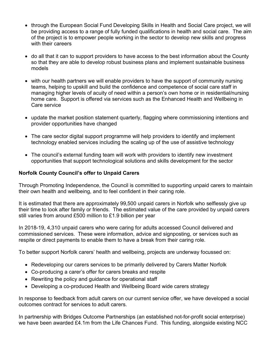- through the European Social Fund Developing Skills in Health and Social Care project, we will be providing access to a range of fully funded qualifications in health and social care. The aim of the project is to empower people working in the sector to develop new skills and progress with their careers
- do all that it can to support providers to have access to the best information about the County so that they are able to develop robust business plans and implement sustainable business models
- with our health partners we will enable providers to have the support of community nursing teams, helping to upskill and build the confidence and competence of social care staff in managing higher levels of acuity of need within a person's own home or in residential/nursing home care. Support is offered via services such as the Enhanced Health and Wellbeing in Care service
- update the market position statement quarterly, flagging where commissioning intentions and provider opportunities have changed
- The care sector digital support programme will help providers to identify and implement technology enabled services including the scaling up of the use of assistive technology
- The council's external funding team will work with providers to identify new investment opportunities that support technological solutions and skills development for the sector

#### **Norfolk County Council's offer to Unpaid Carers**

Through Promoting Independence, the Council is committed to supporting unpaid carers to maintain their own health and wellbeing, and to feel confident in their caring role.

It is estimated that there are approximately 99,500 unpaid carers in Norfolk who selflessly give up their time to look after family or friends. The estimated value of the care provided by unpaid carers still varies from around £500 million to £1.9 billion per year

In 2018-19, 4,310 unpaid carers who were caring for adults accessed Council delivered and commissioned services. These were information, advice and signposting, or services such as respite or direct payments to enable them to have a break from their caring role.

To better support Norfolk carers' health and wellbeing, projects are underway focussed on:

- Redeveloping our carers services to be primarily delivered by Carers Matter Norfolk
- Co-producing a carer's offer for carers breaks and respite
- Rewriting the policy and guidance for operational staff
- Developing a co-produced Health and Wellbeing Board wide carers strategy

In response to feedback from adult carers on our current service offer, we have developed a social outcomes contract for services to adult carers.

In partnership with Bridges Outcome Partnerships (an established not-for-profit social enterprise) we have been awarded £4.1m from the Life Chances Fund. This funding, alongside existing NCC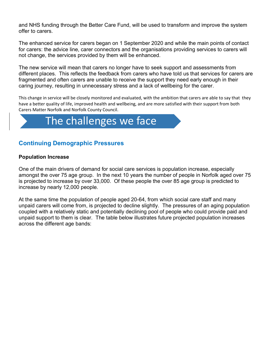and NHS funding through the Better Care Fund, will be used to transform and improve the system offer to carers.

The enhanced service for carers began on 1 September 2020 and while the main points of contact for carers: the advice line, carer connectors and the organisations providing services to carers will not change, the services provided by them will be enhanced.

The new service will mean that carers no longer have to seek support and assessments from different places. This reflects the feedback from carers who have told us that services for carers are fragmented and often carers are unable to receive the support they need early enough in their caring journey, resulting in unnecessary stress and a lack of wellbeing for the carer.

This change in service will be closely monitored and evaluated, with the ambition that carers are able to say that they have a better quality of life, improved health and wellbeing, and are more satisfied with their support from both Carers Matter Norfolk and Norfolk County Council.

# The challenges we face

## **Continuing Demographic Pressures**

#### **Population Increase**

One of the main drivers of demand for social care services is population increase, especially amongst the over 75 age group. In the next 10 years the number of people in Norfolk aged over 75 is projected to increase by over 33,000. Of these people the over 85 age group is predicted to increase by nearly 12,000 people.

At the same time the population of people aged 20-64, from which social care staff and many unpaid carers will come from, is projected to decline slightly. The pressures of an aging population coupled with a relatively static and potentially declining pool of people who could provide paid and unpaid support to them is clear. The table below illustrates future projected population increases across the different age bands: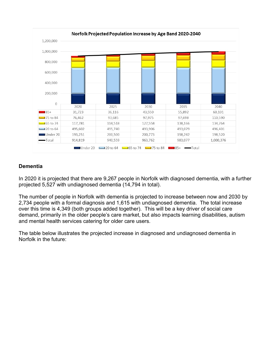

#### **Dementia**

In 2020 it is projected that there are 9,267 people in Norfolk with diagnosed dementia, with a further projected 5,527 with undiagnosed dementia (14,794 in total).

The number of people in Norfolk with dementia is projected to increase between now and 2030 by 2,734 people with a formal diagnosis and 1,615 with undiagnosed dementia. The total increase over this time is 4,349 (both groups added together). This will be a key driver of social care demand, primarily in the older people's care market, but also impacts learning disabilities, autism and mental health services catering for older care users.

The table below illustrates the projected increase in diagnosed and undiagnosed dementia in Norfolk in the future: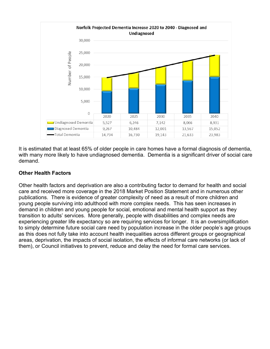

It is estimated that at least 65% of older people in care homes have a formal diagnosis of dementia, with many more likely to have undiagnosed dementia. Dementia is a significant driver of social care demand.

#### **Other Health Factors**

Other health factors and deprivation are also a contributing factor to demand for health and social care and received more coverage in the 2018 Market Position Statement and in numerous other publications. There is evidence of greater complexity of need as a result of more children and young people surviving into adulthood with more complex needs. This has seen increases in demand in children and young people for social, emotional and mental health support as they transition to adults' services. More generally, people with disabilities and complex needs are experiencing greater life expectancy so are requiring services for longer. It is an oversimplification to simply determine future social care need by population increase in the older people's age groups as this does not fully take into account health inequalities across different groups or geographical areas, deprivation, the impacts of social isolation, the effects of informal care networks (or lack of them), or Council initiatives to prevent, reduce and delay the need for formal care services.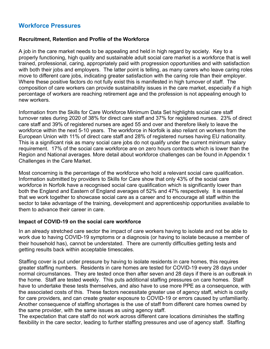## **Workforce Pressures**

#### **Recruitment, Retention and Profile of the Workforce**

A job in the care market needs to be appealing and held in high regard by society. Key to a properly functioning, high quality and sustainable adult social care market is a workforce that is well trained, professional, caring, appropriately paid with progression opportunities and with satisfaction with both their jobs and employers. The latter point is telling, as many carers who leave caring roles move to different care jobs, indicating greater satisfaction with the caring role than their employer. Where these positive factors do not fully exist this is manifested in high turnover of staff. The composition of care workers can provide sustainability issues in the care market, especially if a high percentage of workers are reaching retirement age and the profession is not appealing enough to new workers.

Information from the Skills for Care Workforce Minimum Data Set highlights social care staff turnover rates during 2020 of 38% for direct care staff and 37% for registered nurses. 23% of direct care staff and 39% of registered nurses are aged 55 and over and therefore likely to leave the workforce within the next 5-10 years. The workforce in Norfolk is also reliant on workers from the European Union with 11% of direct care staff and 28% of registered nurses having EU nationality. This is a significant risk as many social care jobs do not qualify under the current minimum salary requirement. 17% of the social care workforce are on zero hours contracts which is lower than the Region and National averages. More detail about workforce challenges can be found in Appendix 1 Challenges in the Care Market.

Most concerning is the percentage of the workforce who hold a relevant social care qualification. Information submitted by providers to Skills for Care show that only 43% of the social care workforce in Norfolk have a recognised social care qualification which is significantly lower than both the England and Eastern of England averages of 52% and 47% respectively. It is essential that we work together to showcase social care as a career and to encourage all staff within the sector to take advantage of the training, development and apprenticeship opportunities available to them to advance their career in care.

#### **Impact of COVID-19 on the social care workforce**

In an already stretched care sector the impact of care workers having to isolate and not be able to work due to having COVID-19 symptoms or a diagnosis (or having to isolate because a member of their household has), cannot be understated. There are currently difficulties getting tests and getting results back within acceptable timescales.

Staffing cover is put under pressure by having to isolate residents in care homes, this requires greater staffing numbers. Residents in care homes are tested for COVID-19 every 28 days under normal circumstances. They are tested once then after seven and 28 days if there is an outbreak in the home. Staff are tested weekly. This puts additional staffing pressures on care homes. Staff have to undertake these tests themselves, and also have to use more PPE as a consequence, with the associated costs of this. These factors necessitate greater use of agency staff, which is costly for care providers, and can create greater exposure to COVID-19 or errors caused by unfamiliarity. Another consequence of staffing shortages is the use of staff from different care homes owned by the same provider, with the same issues as using agency staff.

The expectation that care staff do not work across different care locations diminishes the staffing flexibility in the care sector, leading to further staffing pressures and use of agency staff. Staffing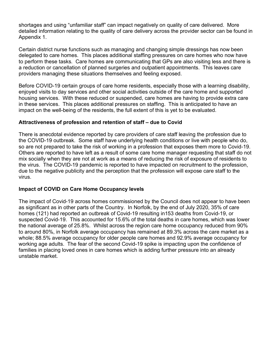shortages and using "unfamiliar staff" can impact negatively on quality of care delivered. More detailed information relating to the quality of care delivery across the provider sector can be found in Appendix 1.

Certain district nurse functions such as managing and changing simple dressings has now been delegated to care homes. This places additional staffing pressures on care homes who now have to perform these tasks. Care homes are communicating that GPs are also visiting less and there is a reduction or cancellation of planned surgeries and outpatient appointments. This leaves care providers managing these situations themselves and feeling exposed.

Before COVID-19 certain groups of care home residents, especially those with a learning disability, enjoyed visits to day services and other social activities outside of the care home and supported housing services. With these reduced or suspended, care homes are having to provide extra care in these services. This places additional pressures on staffing. This is anticipated to have an impact on the well-being of the residents, the full extent of this is yet to be evaluated.

#### **Attractiveness of profession and retention of staff – due to Covid**

There is anecdotal evidence reported by care providers of care staff leaving the profession due to the COVID-19 outbreak. Some staff have underlying health conditions or live with people who do, so are not prepared to take the risk of working in a profession that exposes them more to Covid-19. Others are reported to have left as a result of some care home manager requesting that staff do not mix socially when they are not at work as a means of reducing the risk of exposure of residents to the virus. The COVID-19 pandemic is reported to have impacted on recruitment to the profession, due to the negative publicity and the perception that the profession will expose care staff to the virus.

#### **Impact of COVID on Care Home Occupancy levels**

The impact of Covid-19 across homes commissioned by the Council does not appear to have been as significant as in other parts of the Country. In Norfolk, by the end of July 2020, 35% of care homes (121) had reported an outbreak of Covid-19 resulting in153 deaths from Covid-19, or suspected Covid-19. This accounted for 15.6% of the total deaths in care homes, which was lower the national average of 25.8%. Whilst across the region care home occupancy reduced from 90% to around 80%, in Norfolk average occupancy has remained at 89.3% across the care market as a whole; 88.5% average occupancy for older people care homes and 92.9% average occupancy for working age adults. The fear of the second Covid-19 spike is impacting upon the confidence of families in placing loved ones in care homes which is adding further pressure into an already unstable market.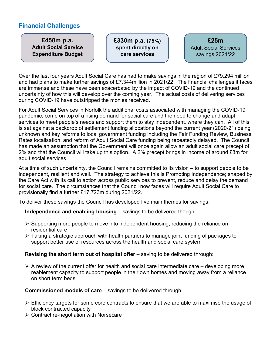## **Financial Challenges**

**£450m p.a. Adult Social Service Expenditure Budget** **£330m p.a. (75%) spent directly on care services** 

**£25m**  Adult Social Services savings 2021/22

Over the last four years Adult Social Care has had to make savings in the region of £79.294 million and had plans to make further savings of £7.344million in 2021/22. The financial challenges it faces are immense and these have been exacerbated by the impact of COVID-19 and the continued uncertainty of how this will develop over the coming year. The actual costs of delivering services during COVID-19 have outstripped the monies received.

For Adult Social Services in Norfolk the additional costs associated with managing the COVID-19 pandemic, come on top of a rising demand for social care and the need to change and adapt services to meet people's needs and support them to stay independent, where they can. All of this is set against a backdrop of settlement funding allocations beyond the current year (2020-21) being unknown and key reforms to local government funding including the Fair Funding Review, Business Rates localisation, and reform of Adult Social Care funding being repeatedly delayed. The Council has made an assumption that the Government will once again allow an adult social care precept of 2% and that the Council will take up this option. A 2% precept brings in income of around £8m for adult social services.

At a time of such uncertainty, the Council remains committed to its vision – to support people to be independent, resilient and well. The strategy to achieve this is Promoting Independence; shaped by the Care Act with its call to action across public services to prevent, reduce and delay the demand for social care. The circumstances that the Council now faces will require Adult Social Care to provisionally find a further £17.723m during 2021/22.

To deliver these savings the Council has developed five main themes for savings:

#### **Independence and enabling housing –** savings to be delivered though:

- $\triangleright$  Supporting more people to move into independent housing, reducing the reliance on residential care
- Taking a strategic approach with health partners to manage joint funding of packages to support better use of resources across the health and social care system

#### **Revising the short term out of hospital offer** – saving to be delivered through:

 $\triangleright$  A review of the current offer for health and social care intermediate care – developing more reablement capacity to support people in their own homes and moving away from a reliance on short term beds

#### **Commissioned models of care** – savings to be delivered through:

- $\triangleright$  Efficiency targets for some core contracts to ensure that we are able to maximise the usage of block contracted capacity
- **► Contract re-negotiation with Norsecare**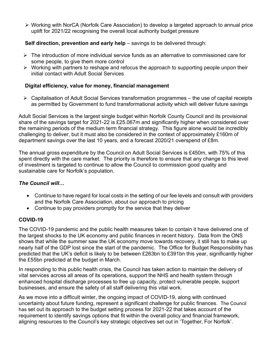Working with NorCA (Norfolk Care Association) to develop a targeted approach to annual price uplift for 2021/22 recognising the overall local authority budget pressure

#### **Self direction, prevention and early help** – savings to be delivered through:

- $\triangleright$  The introduction of more individual service funds as an alternative to commissioned care for some people, to give them more control
- $\triangleright$  Working with partners to reshape and refocus the approach to supporting people unpon their initial contact with Adult Social Services

#### **Digital efficiency, value for money, financial management**

 $\triangleright$  Capitalisation of Adult Social Services transformation programmes – the use of capital receipts as permitted by Government to fund transformational activity which will deliver future savings

Adult Social Services is the largest single budget within Norfolk County Council and its provisional share of the savings target for 2021-22 is £25.067m and significantly higher when considered over the remaining periods of the medium term financial strategy. This figure alone would be incredibly challenging to deliver, but it must also be considered in the context of approximately £160m of department savings over the last 10 years, and a forecast 2020/21 overspend of £8m.

The annual gross expenditure by the Council on Adult Social Services is £450m, with 75% of this spent directly with the care market. The priority is therefore to ensure that any change to this level of investment is targeted to continue to allow the Council to commission good quality and sustainable care for Norfolk's population.

#### *The Council will…*

- Continue to have regard for local costs in the setting of our fee levels and consult with providers and the Norfolk Care Association, about our approach to pricing
- Continue to pay providers promptly for the service that they deliver

#### **COVID-19**

The COVID-19 pandemic and the public health measures taken to contain it have delivered one of the largest shocks to the UK economy and public finances in recent history. Data from the ONS shows that while the summer saw the UK economy move towards recovery, it still has to make up nearly half of the GDP lost since the start of the pandemic. The Office for Budget Responsibility has predicted that the UK's deficit is likely to be between £263bn to £391bn this year, significantly higher the £55bn predicted at the budget in March.

In responding to this public health crisis, the Council has taken action to maintain the delivery of vital services across all areas of its operations, support the NHS and health system through enhanced hospital discharge processes to free up capacity, protect vulnerable people, support businesses, and ensure the safety of all staff delivering this vital work.

As we move into a difficult winter, the ongoing impact of COVID-19, along with continued uncertainty about future funding, represent a significant challenge for public finances.The Council has set out its approach to the budget setting process for 2021-22 that takes account of the requirement to identify savings options that fit within the overall policy and financial framework, aligning resources to the Council's key strategic objectives set out in 'Together, For Norfolk'.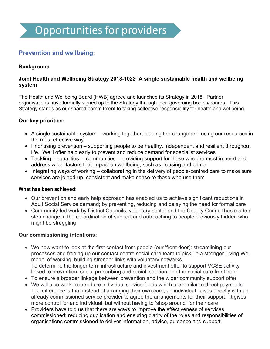## **Prevention and wellbeing:**

#### **Background**

#### **Joint Health and Wellbeing Strategy 2018-1022 'A single sustainable health and wellbeing system**

The Health and Wellbeing Board (HWB) agreed and launched its Strategy in 2018. Partner organisations have formally signed up to the Strategy through their governing bodies/boards. This Strategy stands as our shared commitment to taking collective responsibility for health and wellbeing.

#### **Our key priorities:**

- A single sustainable system working together, leading the change and using our resources in the most effective way
- Prioritising prevention supporting people to be healthy, independent and resilient throughout life. We'll offer help early to prevent and reduce demand for specialist services
- Tackling inequalities in communities providing support for those who are most in need and address wider factors that impact on wellbeing, such as housing and crime
- Integrating ways of working collaborating in the delivery of people-centred care to make sure services are joined-up, consistent and make sense to those who use them

#### **What has been achieved:**

- Our prevention and early help approach has enabled us to achieve significant reductions in Adult Social Service demand; by preventing, reducing and delaying the need for formal care
- Community-led work by District Councils, voluntary sector and the County Council has made a step change in the co-ordination of support and outreaching to people previously hidden who might be struggling

#### **Our commissioning intentions:**

- We now want to look at the first contact from people (our 'front door): streamlining our processes and freeing up our contact centre social care team to pick up a stronger Living Well model of working, building stronger links with voluntary networks. To determine the longer term infrastructure and investment offer to support VCSE activity linked to prevention, social prescribing and social isolation and the social care front door
- To ensure a broader linkage between prevention and the wider community support offer
- We will also work to introduce individual service funds which are similar to direct payments. The difference is that instead of arranging their own care, an individual liaises directly with an already commissioned service provider to agree the arrangements for their support. It gives more control for and individual, but without having to 'shop around' for their care
- Providers have told us that there are ways to improve the effectiveness of services commissioned; reducing duplication and ensuring clarity of the roles and responsibilities of organisations commissioned to deliver information, advice, guidance and support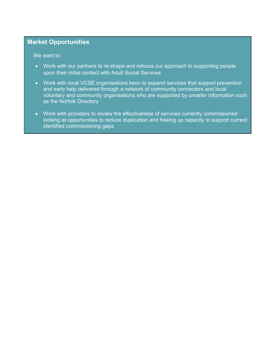## **Market Opportunities**

We want to:

- Work with our partners to re-shape and refocus our approach to supporting people upon their initial contact with Adult Social Services
- Work with local VCSE organisations keen to expand services that support prevention and early help delivered through a network of community connectors and local voluntary and community organisations who are supported by smarter information such as the Norfolk Directory
- Work with providers to review the effectiveness of services currently commissioned looking at opportunities to reduce duplication and freeing up capacity to support current identified commissioning gaps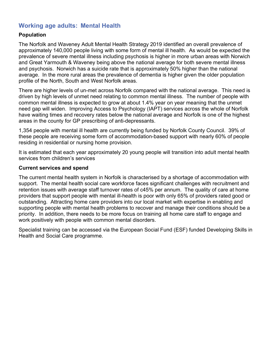## **Working age adults: Mental Health**

#### **Population**

The Norfolk and Waveney Adult Mental Health Strategy 2019 identified an overall prevalence of approximately 140,000 people living with some form of mental ill health. As would be expected the prevalence of severe mental illness including psychosis is higher in more urban areas with Norwich and Great Yarmouth & Waveney being above the national average for both severe mental illness and psychosis. Norwich has a suicide rate that is approximately 50% higher than the national average. In the more rural areas the prevalence of dementia is higher given the older population profile of the North, South and West Norfolk areas.

There are higher levels of un-met across Norfolk compared with the national average. This need is driven by high levels of unmet need relating to common mental illness. The number of people with common mental illness is expected to grow at about 1.4% year on year meaning that the unmet need gap will widen. Improving Access to Psychology (IAPT) services across the whole of Norfolk have waiting times and recovery rates below the national average and Norfolk is one of the highest areas in the county for GP prescribing of anti-depressants.

1,354 people with mental ill health are currently being funded by Norfolk County Council. 39% of these people are receiving some form of accommodation-based support with nearly 60% of people residing in residential or nursing home provision.

It is estimated that each year approximately 20 young people will transition into adult mental health services from children's services

#### **Current services and spend**

The current mental health system in Norfolk is characterised by a shortage of accommodation with support. The mental health social care workforce faces significant challenges with recruitment and retention issues with average staff turnover rates of c45% per annum. The quality of care at home providers that support people with mental ill-health is poor with only 65% of providers rated good or outstanding. Attracting home care providers into our local market with expertise in enabling and supporting people with mental health problems to recover and manage their conditions should be a priority. In addition, there needs to be more focus on training all home care staff to engage and work positively with people with common mental disorders.

Specialist training can be accessed via the European Social Fund (ESF) funded Developing Skills in Health and Social Care programme.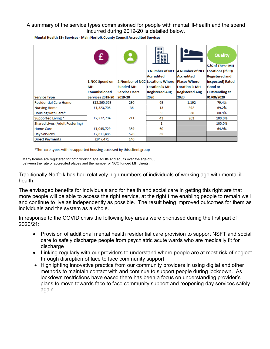#### A summary of the service types commissioned for people with mental ill-health and the spend incurred during 2019-20 is detailed below.

Mental Health 18+ Services - Main Norfolk County Council Accredited Services

|                                | £                   |                      | 噩<br>鬸<br>Accredited                            | 3. Number of NCC   4. Number of NCC   Locations (if CQC<br><b>Accredited</b> | <b>Quality</b><br>5.% of These MH<br><b>Registered and</b> |
|--------------------------------|---------------------|----------------------|-------------------------------------------------|------------------------------------------------------------------------------|------------------------------------------------------------|
|                                | 1.NCC Spend on      |                      | 2. Number of NCC Locations Where   Places Where |                                                                              | <b>Inspected) Rated</b>                                    |
|                                | MН                  | <b>Funded MH</b>     | <b>Location is MH</b>                           | <b>Location is MH</b>                                                        | <b>Good or</b>                                             |
|                                | <b>Commissioned</b> | <b>Service Users</b> | <b>Registered Aug</b>                           | <b>Registered Aug</b>                                                        | <b>Outstanding at</b>                                      |
| <b>Service Type</b>            | Services 2019-20    | 2019-20              | 2020                                            | 2020                                                                         | 01/08/2020                                                 |
| <b>Residential Care Home</b>   | £12,860,669         | 290                  | 69                                              | 1,192                                                                        | 79.4%                                                      |
| <b>Nursing Home</b>            | £1,323,706          | 36                   | 13                                              | 392                                                                          | 69.2%                                                      |
| Housing with Care*             |                     |                      | 9                                               | 338                                                                          | 88.9%                                                      |
| Supported Living *             | £2,272,794          | 211                  | 43                                              | 263                                                                          | 100.0%                                                     |
| Shared Lives (Adult Fostering) |                     |                      | 1                                               |                                                                              | 100.0%                                                     |
| <b>Home Care</b>               | £1,045,729          | 359                  | 60                                              |                                                                              | 64.9%                                                      |
| Day Services                   | £2,611,485          | 578                  | 55                                              |                                                                              |                                                            |
| <b>Direct Payments</b>         | £847,471            | 140                  |                                                 |                                                                              |                                                            |

\*The care types within supported housing accessed by this client group

 Many homes are registered for both working age adults and adults over the age of 65 between the rate of accredited places and the number of NCC funded MH clients.

Traditionally Norfolk has had relatively high numbers of individuals of working age with mental illhealth.

The envisaged benefits for individuals and for health and social care in getting this right are that more people will be able to access the right service, at the right time enabling people to remain well and continue to live as independently as possible. The result being improved outcomes for them as individuals and the system as a whole.

In response to the COVID crisis the following key areas were prioritised during the first part of 2020/21:

- Provision of additional mental health residential care provision to support NSFT and social care to safely discharge people from psychiatric acute wards who are medically fit for discharge
- Linking regularly with our providers to understand where people are at most risk of neglect through disruption of face to face community support
- Highlighting innovative practice from our community providers in using digital and other methods to maintain contact with and continue to support people during lockdown. As lockdown restrictions have eased there has been a focus on understanding provider's plans to move towards face to face community support and reopening day services safely again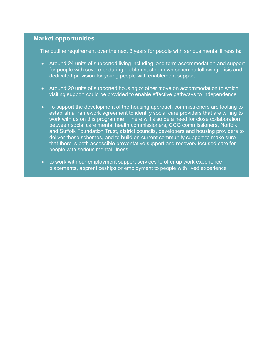#### **Market opportunities**

The outline requirement over the next 3 years for people with serious mental illness is:

- Around 24 units of supported living including long term accommodation and support for people with severe enduring problems, step down schemes following crisis and dedicated provision for young people with enablement support
- Around 20 units of supported housing or other move on accommodation to which visiting support could be provided to enable effective pathways to independence
- To support the development of the housing approach commissioners are looking to establish a framework agreement to identify social care providers that are willing to work with us on this programme. There will also be a need for close collaboration between social care mental health commissioners, CCG commissioners, Norfolk and Suffolk Foundation Trust, district councils, developers and housing providers to deliver these schemes, and to build on current community support to make sure that there is both accessible preventative support and recovery focused care for people with serious mental illness
- to work with our employment support services to offer up work experience placements, apprenticeships or employment to people with lived experience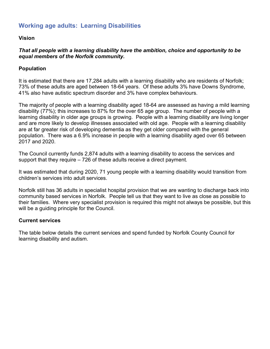## **Working age adults: Learning Disabilities**

#### **Vision**

#### *That all people with a learning disability have the ambition, choice and opportunity to be equal members of the Norfolk community.*

#### **Population**

It is estimated that there are 17,284 adults with a learning disability who are residents of Norfolk; 73% of these adults are aged between 18-64 years. Of these adults 3% have Downs Syndrome, 41% also have autistic spectrum disorder and 3% have complex behaviours.

The majority of people with a learning disability aged 18-64 are assessed as having a mild learning disability (77%); this increases to 87% for the over 65 age group. The number of people with a learning disability in older age groups is growing. People with a learning disability are living longer and are more likely to develop illnesses associated with old age. People with a learning disability are at far greater risk of developing dementia as they get older compared with the general population. There was a 6.9% increase in people with a learning disability aged over 65 between 2017 and 2020.

The Council currently funds 2,874 adults with a learning disability to access the services and support that they require – 726 of these adults receive a direct payment.

It was estimated that during 2020, 71 young people with a learning disability would transition from children's services into adult services.

Norfolk still has 36 adults in specialist hospital provision that we are wanting to discharge back into community based services in Norfolk. People tell us that they want to live as close as possible to their families. Where very specialist provision is required this might not always be possible, but this will be a guiding principle for the Council.

#### **Current services**

The table below details the current services and spend funded by Norfolk County Council for learning disability and autism.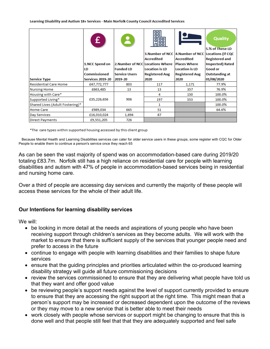Learning Disability and Autism 18+ Services - Main Norfolk County Council Accredited Services

|                                 | £                         | $\mathbf{R}$         | 噩<br>鬸<br><b>Accredited</b>                               | 3. Number of NCC   4. Number of NCC   Locations (if CQC<br>Accredited | <b>Quality</b><br>5.% of These LD<br><b>Registered and</b> |
|---------------------------------|---------------------------|----------------------|-----------------------------------------------------------|-----------------------------------------------------------------------|------------------------------------------------------------|
|                                 | 1.NCC Spend on            | <b>Funded LD</b>     | 2. Number of NCC Locations Where<br><b>Location is LD</b> | <b>Places Where</b>                                                   | <b>Inspected) Rated</b><br><b>Good or</b>                  |
|                                 | LD<br><b>Commissioned</b> | <b>Service Users</b> | <b>Registered Aug</b>                                     | <b>Location is LD</b><br><b>Registered Aug</b>                        | <b>Outstanding at</b>                                      |
| <b>Service Type</b>             | Services 2019-20          | 2019-20              | 2020                                                      | 2020                                                                  | 01/08/2020                                                 |
| Residential Care Home           | £47,772,777               | 803                  | 117                                                       | 1,171                                                                 | 77.9%                                                      |
| <b>Nursing Home</b>             | £663,485                  | 13                   | 13                                                        | 357                                                                   | 76.9%                                                      |
| Housing with Care*              |                           |                      | 4                                                         | 150                                                                   | 100.0%                                                     |
| Supported Living*               | £35,226,656               | 906                  | 197                                                       | 553                                                                   | 100.0%                                                     |
| Shared Lives (Adult Fostering)* |                           |                      | 1                                                         |                                                                       | 100.0%                                                     |
| Home Care                       | £989,034                  | 665                  | 51                                                        |                                                                       | 64.6%                                                      |
| Day Services                    | £16,010,024               | 1,694                | 87                                                        |                                                                       |                                                            |
| <b>Direct Payments</b>          | £9,551,205                | 726                  |                                                           |                                                                       |                                                            |

\*The care types within supported housing accessed by this client group

 Because Mental Health and Learning Disabilities services can cater for older service users in these groups, some register with CQC for Older People to enable them to continue a person's service once they reach 65

As can be seen the vast majority of spend was on accommodation-based care during 2019/20 totaling £83.7m. Norfolk still has a high reliance on residential care for people with learning disabilities and autism with 47% of people in accommodation-based services being in residential and nursing home care.

Over a third of people are accessing day services and currently the majority of these people will access these services for the whole of their adult life.

#### **Our Intentions for learning disability services**

We will:

- be looking in more detail at the needs and aspirations of young people who have been receiving support through children's services as they become adults. We will work with the market to ensure that there is sufficient supply of the services that younger people need and prefer to access in the future
- continue to engage with people with learning disabilities and their families to shape future services
- ensure that the guiding principles and priorities articulated within the co-produced learning disability strategy will guide all future commissioning decisions
- review the services commissioned to ensure that they are delivering what people have told us that they want and offer good value
- be reviewing people's support needs against the level of support currently provided to ensure to ensure that they are accessing the right support at the right time. This might mean that a person's support may be increased or decreased dependent upon the outcome of the reviews or they may move to a new service that is better able to meet their needs
- work closely with people whose services or support might be changing to ensure that this is done well and that people still feel that that they are adequately supported and feel safe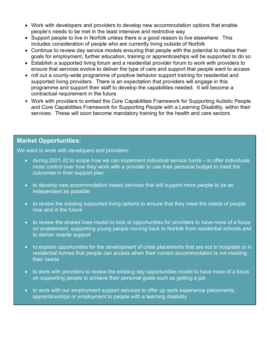- Work with developers and providers to develop new accommodation options that enable people's needs to be met in the least intensive and restrictive way
- Support people to live in Norfolk unless there is a good reason to live elsewhere. This includes consideration of people who are currently living outside of Norfolk
- Continue to review day service models ensuring that people with the potential to realise their goals for employment, further education, training or apprenticeships will be supported to do so
- Establish a supported living forum and a residential provider forum to work with providers to ensure that services evolve to deliver the type of care and support that people want to access
- roll out a county-wide programme of positive behavior support training for residential and supported living providers. There is an expectation that providers will engage in this programme and support their staff to develop the capabilities needed. It will become a contractual requirement in the future
- Work with providers to embed the Core Capabilities Framework for Supporting Autistic People and Core Capabilities Framework for Supporting People with a Learning Disability, within their services. These will soon become mandatory training for the health and care sectors

#### **Market Opportunities:**

We want to work with developers and providers:

- during 2021-22 to scope how we can implement individual service funds to offer individuals more control over how they work with a provider to use their personal budget to meet the outcomes in their support plan
- to develop new accommodation based services that will support more people to be as independent as possible
- to review the existing supported living options to ensure that they meet the needs of people now and in the future
- to review the shared lives model to look at opportunities for providers to have more of a focus on enablement, supporting young people moving back to Norfolk from residential schools and to deliver respite support
- to explore opportunities for the development of crisis placements that are not in hospitals or in residential homes that people can access when their current accommodation is not meeting their needs
- to work with providers to review the existing day opportunities model to have more of a focus on supporting people to achieve their personal goals such as getting a job
- to work with our employment support services to offer up work experience placements, apprenticeships or employment to people with a learning disability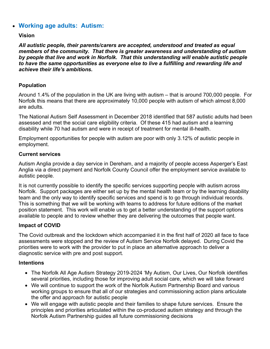## • **Working age adults: Autism:**

#### **Vision**

*All autistic people, their parents/carers are accepted, understood and treated as equal members of the community. That there is greater awareness and understanding of autism by people that live and work in Norfolk. That this understanding will enable autistic people to have the same opportunities as everyone else to live a fulfilling and rewarding life and achieve their life's ambitions.*

#### **Population**

Around 1.4% of the population in the UK are living with autism – that is around 700,000 people. For Norfolk this means that there are approximately 10,000 people with autism of which almost 8,000 are adults.

The National Autism Self Assessment in December 2018 identified that 587 autistic adults had been assessed and met the social care eligibility criteria. Of these 415 had autism and a learning disability while 70 had autism and were in receipt of treatment for mental ill-health.

Employment opportunities for people with autism are poor with only 3.12% of autistic people in employment.

#### **Current services**

Autism Anglia provide a day service in Dereham, and a majority of people access Asperger's East Anglia via a direct payment and Norfolk County Council offer the employment service available to autistic people.

It is not currently possible to identify the specific services supporting people with autism across Norfolk. Support packages are either set up by the mental health team or by the learning disability team and the only way to identify specific services and spend is to go through individual records. This is something that we will be working with teams to address for future editions of the market position statement. This work will enable us to get a better understanding of the support options available to people and to review whether they are delivering the outcomes that people want.

#### **Impact of COVID**

The Covid outbreak and the lockdown which accompanied it in the first half of 2020 all face to face assessments were stopped and the review of Autism Service Norfolk delayed. During Covid the priorities were to work with the provider to put in place an alternative approach to deliver a diagnostic service with pre and post support.

#### **Intentions**

- The Norfolk All Age Autism Strategy 2019-2024 'My Autism, Our Lives, Our Norfolk identifies several priorities, including those for improving adult social care, which we will take forward
- We will continue to support the work of the Norfolk Autism Partnership Board and various working groups to ensure that all of our strategies and commissioning action plans articulate the offer and approach for autistic people
- We will engage with autistic people and their families to shape future services. Ensure the principles and priorities articulated within the co-produced autism strategy and through the Norfolk Autism Partnership guides all future commissioning decisions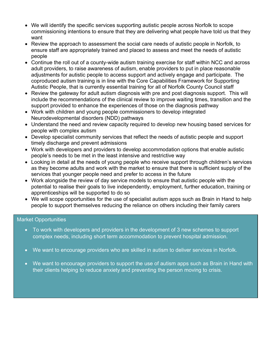- We will identify the specific services supporting autistic people across Norfolk to scope commissioning intentions to ensure that they are delivering what people have told us that they want
- Review the approach to assessment the social care needs of autistic people in Norfolk, to ensure staff are appropriately trained and placed to assess and meet the needs of autistic people
- Continue the roll out of a county-wide autism training exercise for staff within NCC and across adult providers, to raise awareness of autism, enable providers to put in place reasonable adjustments for autistic people to access support and actively engage and participate. The coproduced autism training is in line with the Core Capabilities Framework for Supporting Autistic People, that is currently essential training for all of Norfolk County Council staff
- Review the gateway for adult autism diagnosis with pre and post diagnosis support. This will include the recommendations of the clinical review to improve waiting times, transition and the support provided to enhance the experiences of those on the diagnosis pathway
- Work with children and young people commissioners to develop integrated Neurodevelopmental disorders (NDD) pathways
- Understand the need and review capacity required to develop new housing based services for people with complex autism
- Develop specialist community services that reflect the needs of autistic people and support timely discharge and prevent admissions
- Work with developers and providers to develop accommodation options that enable autistic people's needs to be met in the least intensive and restrictive way
- Looking in detail at the needs of young people who receive support through children's services as they become adults and work with the market to ensure that there is sufficient supply of the services that younger people need and prefer to access in the future
- Work alongside the review of day service models to ensure that autistic people with the potential to realise their goals to live independently, employment, further education, training or apprenticeships will be supported to do so
- We will scope opportunities for the use of specialist autism apps such as Brain in Hand to help people to support themselves reducing the reliance on others including their family carers

#### Market Opportunities

- To work with developers and providers in the development of 3 new schemes to support complex needs, including short term accommodation to prevent hospital admission.
- We want to encourage providers who are skilled in autism to deliver services in Norfolk.
- We want to encourage providers to support the use of autism apps such as Brain in Hand with their clients helping to reduce anxiety and preventing the person moving to crisis.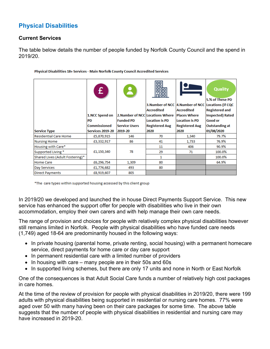## **Physical Disabilities**

#### **Current Services**

The table below details the number of people funded by Norfolk County Council and the spend in 2019/20.

|                                 | £                       |                                  | 噩<br>8<br>躙<br><b>Accredited</b> | 3. Number of NCC   4. Number of NCC   Locations (if CQC<br>Accredited | <b>Quality</b><br>5.% of These PD<br><b>Registered and</b> |
|---------------------------------|-------------------------|----------------------------------|----------------------------------|-----------------------------------------------------------------------|------------------------------------------------------------|
|                                 | 1.NCC Spend on          | 2. Number of NCC Locations Where |                                  | <b>Places Where</b>                                                   | <b>Inspected) Rated</b>                                    |
|                                 | <b>PD</b>               | <b>Funded PD</b>                 | <b>Location is PD</b>            | <b>Location is PD</b>                                                 | <b>Good or</b>                                             |
|                                 | <b>Commissioned</b>     | <b>Service Users</b>             | <b>Registered Aug</b>            | <b>Registered Aug</b>                                                 | <b>Outstanding at</b>                                      |
| <b>Service Type</b>             | <b>Services 2019-20</b> | 2019-20                          | 2020                             | 2020                                                                  | 01/08/2020                                                 |
| <b>Residential Care Home</b>    | £5,870,915              | 146                              | 70                               | 1,340                                                                 | 79.7%                                                      |
| <b>Nursing Home</b>             | £3,332,917              | 86                               | 41                               | 1,733                                                                 | 76.9%                                                      |
| Housing with Care*              |                         |                                  | 11                               | 406                                                                   | 90.9%                                                      |
| Supported Living *              | £1,150,340              | 78                               | 29                               | 71                                                                    | 100.0%                                                     |
| Shared Lives (Adult Fostering)* |                         |                                  | 1                                |                                                                       | 100.0%                                                     |
| <b>Home Care</b>                | £6,296,754              | 1,309                            | 80                               |                                                                       | 64.9%                                                      |
| Day Services                    | £1,774,682              | 493                              | 80                               |                                                                       |                                                            |
| <b>Direct Payments</b>          | £8,919,607              | 805                              |                                  |                                                                       |                                                            |

#### Physical Disabilities 18+ Services - Main Norfolk County Council Accredited Services

\*The care types within supported housing accessed by this client group

In 2019/20 we developed and launched the in house Direct Payments Support Service. This new service has enhanced the support offer for people with disabilities who live in their own accommodation, employ their own carers and with help manage their own care needs.

The range of provision and choices for people with relatively complex physical disabilities however still remains limited in Norfolk. People with physical disabilities who have funded care needs (1,749) aged 18-64 are predominantly housed in the following ways:

- In private housing (parental home, private renting, social housing) with a permanent homecare service, direct payments for home care or day care support
- In permanent residential care with a limited number of providers
- In housing with care many people are in their 50s and 60s
- In supported living schemes, but there are only 17 units and none in North or East Norfolk

One of the consequences is that Adult Social Care funds a number of relatively high cost packages in care homes.

At the time of the review of provision for people with physical disabilities in 2019/20, there were 199 adults with physical disabilities being supported in residential or nursing care homes. 77% were aged over 50 with many having been on their care packages for some time. The above table suggests that the number of people with physical disabilities in residential and nursing care may have increased in 2019-20.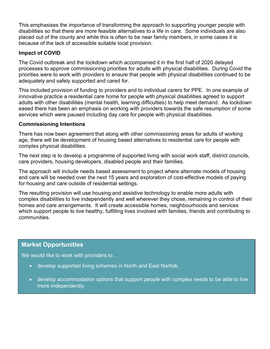This emphasises the importance of transforming the approach to supporting younger people with disabilities so that there are more feasible alternatives to a life in care. Some individuals are also placed out of the county and while this is often to be near family members, in some cases it is because of the lack of accessible suitable local provision.

#### **Impact of COVID**

The Covid outbreak and the lockdown which accompanied it in the first half of 2020 delayed processes to approve commissioning priorities for adults with physical disabilities. During Covid the priorities were to work with providers to ensure that people with physical disabilities continued to be adequately and safely supported and cared for.

This included provision of funding to providers and to individual carers for PPE. In one example of innovative practice a residential care home for people with physical disabilities agreed to support adults with other disabilities (mental health, learning difficulties) to help meet demand. As lockdown eased there has been an emphasis on working with providers towards the safe resumption of some services which were paused including day care for people with physical disabilities.

#### **Commissioning Intentions**

There has now been agreement that along with other commissioning areas for adults of working age, there will be development of housing based alternatives to residential care for people with complex physical disabilities.

The next step is to develop a programme of supported living with social work staff, district councils, care providers, housing developers, disabled people and their families.

The approach will include needs based assessment to project where alternate models of housing and care will be needed over the next 15 years and exploration of cost-effective models of paying for housing and care outside of residential settings.

The resulting provision will use housing and assistive technology to enable more adults with complex disabilities to live independently and well wherever they chose, remaining in control of their homes and care arrangements. It will create accessible homes, neighbourhoods and services which support people to live healthy, fulfilling lives involved with families, friends and contributing to communities.

## **Market Opportunities**

We would like to work with providers to...

- develop supported living schemes in North and East Norfolk.
- develop accommodation options that support people with complex needs to be able to live more independently.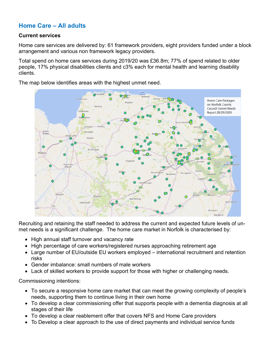## **Home Care – All adults**

#### **Current services**

Home care services are delivered by: 61 framework providers, eight providers funded under a block arrangement and various non framework legacy providers.

Total spend on home care services during 2019/20 was £36.8m; 77% of spend related to older people, 17% physical disabilities clients and c3% each for mental health and learning disability clients.

The map below identifies areas with the highest unmet need.



Recruiting and retaining the staff needed to address the current and expected future levels of unmet needs is a significant challenge. The home care market in Norfolk is characterised by:

- High annual staff turnover and vacancy rate
- High percentage of care workers/registered nurses approaching retirement age
- Large number of EU/outside EU workers employed international recruitment and retention risks
- Gender imbalance: small numbers of male workers
- Lack of skilled workers to provide support for those with higher or challenging needs.

Commissioning intentions:

- To secure a responsive home care market that can meet the growing complexity of people's needs, supporting them to continue living in their own home
- To develop a clear commissioning offer that supports people with a dementia diagnosis at all stages of their life
- To develop a clear reablement offer that covers NFS and Home Care providers
- To Develop a clear approach to the use of direct payments and individual service funds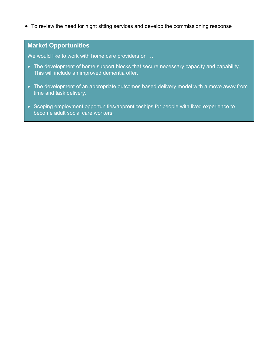• To review the need for night sitting services and develop the commissioning response

## **Market Opportunities**

We would like to work with home care providers on ...

- The development of home support blocks that secure necessary capacity and capability. This will include an improved dementia offer.
- The development of an appropriate outcomes based delivery model with a move away from time and task delivery.
- Scoping employment opportunities/apprenticeships for people with lived experience to become adult social care workers.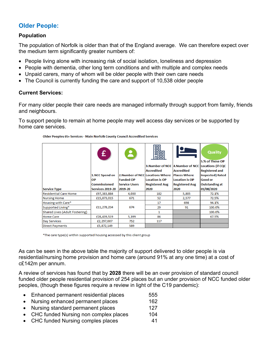## **Older People:**

#### **Population**

The population of Norfolk is older than that of the England average. We can therefore expect over the medium term significantly greater numbers of:

- People living alone with increasing risk of social isolation, loneliness and depression
- People with dementia, other long term conditions and with multiple and complex needs
- Unpaid carers, many of whom will be older people with their own care needs
- The Council is currently funding the care and support of 10,538 older people

#### **Current Services:**

For many older people their care needs are managed informally through support from family, friends and neighbours.

To support people to remain at home people may well access day services or be supported by home care services.

|                                | £.                  | $\mathbf{A}$         | 嘂<br>闘<br><b>Accredited</b>      | 3. Number of NCC 4. Number of NCC Locations (if CQC<br><b>Accredited</b> | <b>Quality</b><br>5.% of These OP<br><b>Registered and</b> |
|--------------------------------|---------------------|----------------------|----------------------------------|--------------------------------------------------------------------------|------------------------------------------------------------|
|                                | 1.NCC Spend on      |                      | 2. Number of NCC Locations Where | <b>Places Where</b>                                                      | <b>Inspected) Rated</b>                                    |
|                                | ОP                  | <b>Funded OP</b>     | <b>Location is OP</b>            | <b>Location is OP</b>                                                    | <b>Good or</b>                                             |
|                                | <b>Commissioned</b> | <b>Service Users</b> | <b>Registered Aug</b>            | <b>Registered Aug</b>                                                    | <b>Outstanding at</b>                                      |
| <b>Service Type</b>            | Services 2019-20    | 2019-20              | 2020                             | 2020                                                                     | 01/08/2020                                                 |
| Residential Care Home          | £97,383,884         | 4,030                | 182                              | 5,805                                                                    | 72.1%                                                      |
| <b>Nursing Home</b>            | £15,873,015         | 671                  | 52                               | 2,577                                                                    | 72.5%                                                      |
| Housing with Care*             |                     |                      | 17                               | 698                                                                      | 94.1%                                                      |
| Supported Living*              | £11,278,234         | 674                  | 29                               | 91                                                                       | 100.0%                                                     |
| Shared Lives (Adult Fostering) |                     |                      | 1                                |                                                                          | 100.0%                                                     |
| <b>Home Care</b>               | £28,439,519         | 5,399                | 86                               |                                                                          | 67.5%                                                      |
| Day Services                   | £2,297,007          | 752                  | 117                              |                                                                          |                                                            |
| <b>Direct Payments</b>         | £5,872,149          | 589                  |                                  |                                                                          |                                                            |

Older Peoples 65+ Services - Main Norfolk County Council Accredited Services

\*The care type(s) within supported housing accessed by this client group

As can be seen in the above table the majority of support delivered to older people is via residential/nursing home provision and home care (around 91% at any one time) at a cost of c£142m per annum.

A review of services has found that by **2028** there will be an over provision of standard council funded older people residential provision of 254 places but an under provision of NCC funded older peoples, (though these figures require a review in light of the C19 pandemic):

- Enhanced permanent residential places 555
- Nursing enhanced permanent places 162
- Nursing standard permanent places 127
- CHC funded Nursing non complex places 104
- CHC funded Nursing comples places 41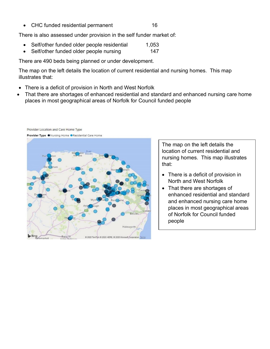• CHC funded residential permanent 16

There is also assessed under provision in the self funder market of:

- Self/other funded older people residential 1,053
- Self/other funded older people nursing 147

There are 490 beds being planned or under development.

The map on the left details the location of current residential and nursing homes. This map illustrates that:

- There is a deficit of provision in North and West Norfolk
- That there are shortages of enhanced residential and standard and enhanced nursing care home places in most geographical areas of Norfolk for Council funded people



The map on the left details the location of current residential and nursing homes. This map illustrates that:

- There is a deficit of provision in North and West Norfolk
- That there are shortages of enhanced residential and standard and enhanced nursing care home places in most geographical areas of Norfolk for Council funded people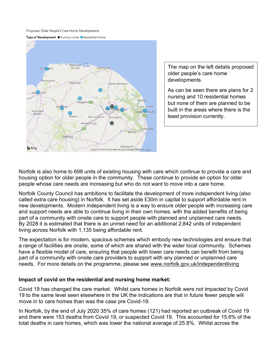Proposed Older People's Care Home Developments





The map on the left details proposed older people's care home developments.

As can be seen there are plans for 2 nursing and 10 residential homes but none of them are planned to be built in the areas where there is the least provision currently.

Norfolk is also home to 698 units of existing housing with care which continue to provide a care and housing option for older people in the community. These continue to provide an option for older people whose care needs are increasing but who do not want to move into a care home.

Norfolk County Council has ambitions to facilitate the development of more independent living (also called extra care housing) in Norfolk. It has set aside £30m in capital to support affordable rent in new developments. Modern independent living is a way to ensure older people with increasing care and support needs are able to continue living in their own homes, with the added benefits of being part of a community with onsite care to support people with planned and unplanned care needs. By 2028 it is estimated that there is an unmet need for an additional 2,842 units of independent living across Norfolk with 1,135 being affordable rent.

The expectation is for modern, spacious schemes which embody new technologies and ensure that a range of facilities are onsite, some of which are shared with the wider local community. Schemes have a flexible model of care, ensuring that people with lower care needs can benefit from being part of a community with onsite care providers to support with any planned or unplanned care needs. For more details on the programme, please see [www.norfolk.gov.uk/independentliving](http://www.norfolk.gov.uk/independentliving) 

#### **Impact of covid on the residential and nursing home market:**

Covid 19 has changed the care market. Whilst care homes in Norfolk were not impacted by Covid 19 to the same level seen elsewhere in the UK the indications are that in future fewer people will move in to care homes than was the case pre Covid-19.

In Norfolk, by the end of July 2020 35% of care homes (121) had reported an outbreak of Covid 19 and there were 153 deaths from Covid 19, or suspected Covid 19. This accounted for 15.6% of the total deaths in care homes, which was lower the national average of 25.8%. Whilst across the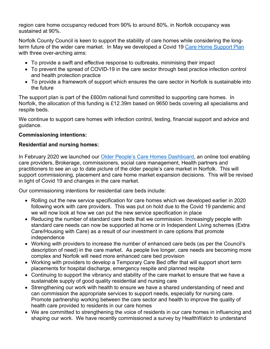region care home occupancy reduced from 90% to around 80%, in Norfolk occupancy was sustained at 90%.

Norfolk County Council is keen to support the stability of care homes while considering the longterm future of the wider care market. In May we developed a Covid 19 [Care Home Support Plan](https://www.norfolk.gov.uk/business/supplying-norfolk-county-council/norfolk-care-market/coronavirus-information-for-care-providers/norfolks-plan-to-support-care-homes) with three over-arching aims:

- To provide a swift and effective response to outbreaks, minimising their impact
- To prevent the spread of COVID-19 in the care sector through best practice infection control and health protection practice
- To provide a framework of support which ensures the care sector in Norfolk is sustainable into the future

The support plan is part of the £600m national fund committed to supporting care homes. In Norfolk, the allocation of this funding is £12.39m based on 9650 beds covering all specialisms and respite beds.

We continue to support care homes with infection control, testing, financial support and advice and guidance.

#### **Commissioning intentions:**

#### **Residential and nursing homes:**

In February 2020 we launched our Older People's Care Homes Dashboard, an online tool enabling care providers, Brokerage, commissioners, social care management, Health partners and practitioners to see an up to date picture of the older people's care market in Norfolk. This will support commissioning, placement and care home market expansion decisions. This will be revised in light of Covid 19 and changes in the care market.

Our commissioning intentions for residential care beds include:

- Rolling out the new service specification for care homes which we developed earlier in 2020 following work with care providers. This was put on hold due to the Covid 19 pandemic and we will now look at how we can put the new service specification in place
- Reducing the number of standard care beds that we commission. Increasingly people with standard care needs can now be supported at home or in Independent Living schemes (Extra Care/Housing with Care) as a result of our investment in care options that promote independence
- Working with providers to increase the number of enhanced care beds (as per the Council's description of need) in the care market. As people live longer, care needs are becoming more complex and Norfolk will need more enhanced care bed provision
- Working with providers to develop a Temporary Care Bed offer that will support short term placements for hospital discharge, emergency respite and planned respite
- Continuing to support the vibrancy and stability of the care market to ensure that we have a sustainable supply of good quality residential and nursing care
- Strengthening our work with health to ensure we have a shared understanding of need and can commission the appropriate services to support needs, especially for nursing care. Promote partnership working between the care sector and health to improve the quality of health care provided to residents in our care homes
- We are committed to strengthening the voice of residents in our care homes in influencing and shaping our work. We have recently commissioned a survey by HealthWatch to understand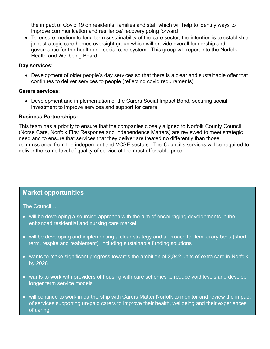the impact of Covid 19 on residents, families and staff which will help to identify ways to improve communication and resilience/ recovery going forward

• To ensure medium to long term sustainability of the care sector, the intention is to establish a joint strategic care homes oversight group which will provide overall leadership and governance for the health and social care system. This group will report into the Norfolk Health and Wellbeing Board

#### **Day services:**

• Development of older people's day services so that there is a clear and sustainable offer that continues to deliver services to people (reflecting covid requirements)

#### **Carers services:**

• Development and implementation of the Carers Social Impact Bond, securing social investment to improve services and support for carers

#### **Business Partnerships:**

This team has a priority to ensure that the companies closely aligned to Norfolk County Council (Norse Care, Norfolk First Response and Independence Matters) are reviewed to meet strategic need and to ensure that services that they deliver are treated no differently than those commissioned from the independent and VCSE sectors. The Council's services will be required to deliver the same level of quality of service at the most affordable price.

## **Market opportunities**

The Council…

- will be developing a sourcing approach with the aim of encouraging developments in the enhanced residential and nursing care market
- will be developing and implementing a clear strategy and approach for temporary beds (short term, respite and reablement), including sustainable funding solutions
- wants to make significant progress towards the ambition of 2,842 units of extra care in Norfolk by 2028
- wants to work with providers of housing with care schemes to reduce void levels and develop longer term service models
- will continue to work in partnership with Carers Matter Norfolk to monitor and review the impact of services supporting un-paid carers to improve their health, wellbeing and their experiences of caring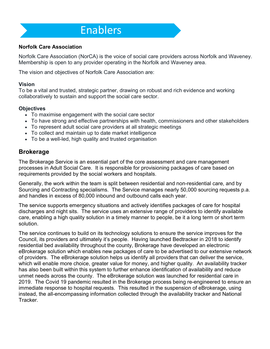## **Enablers**

#### **Norfolk Care Association**

Norfolk Care Association (NorCA) is the voice of social care providers across Norfolk and Waveney. Membership is open to any provider operating in the Norfolk and Waveney area.

The vision and objectives of Norfolk Care Association are:

#### **Vision**

To be a vital and trusted, strategic partner, drawing on robust and rich evidence and working collaboratively to sustain and support the social care sector.

#### **Objectives**

- To maximise engagement with the social care sector
- To have strong and effective partnerships with health, commissioners and other stakeholders
- To represent adult social care providers at all strategic meetings
- To collect and maintain up to date market intelligence
- To be a well-led, high quality and trusted organisation

## **Brokerage**

The Brokerage Service is an essential part of the core assessment and care management processes in Adult Social Care. It is responsible for provisioning packages of care based on requirements provided by the social workers and hospitals.

Generally, the work within the team is split between residential and non-residential care, and by Sourcing and Contracting specialisms. The Service manages nearly 50,000 sourcing requests p.a. and handles in excess of 80,000 inbound and outbound calls each year.

The service supports emergency situations and actively identifies packages of care for hospital discharges and night sits. The service uses an extensive range of providers to identify available care, enabling a high quality solution in a timely manner to people, be it a long term or short term solution.

The service continues to build on its technology solutions to ensure the service improves for the Council, its providers and ultimately it's people. Having launched Bedtracker in 2018 to identify residential bed availability throughout the county, Brokerage have developed an electronic eBrokerage solution which enables new packages of care to be advertised to our extensive network of providers. The eBrokerage solution helps us identify all providers that can deliver the service, which will enable more choice, greater value for money, and higher quality. An availability tracker has also been built within this system to further enhance identification of availability and reduce unmet needs across the county. The eBrokerage solution was launched for residential care in 2019. The Covid 19 pandemic resulted in the Brokerage process being re-engineered to ensure an immediate response to hospital requests. This resulted in the suspension of eBrokerage, using instead, the all-encompassing information collected through the availability tracker and National Tracker.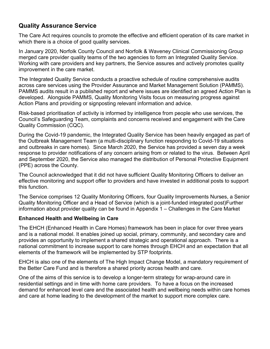## **Quality Assurance Service**

The Care Act requires councils to promote the effective and efficient operation of its care market in which there is a choice of good quality services.

In January 2020, Norfolk County Council and Norfolk & Waveney Clinical Commissioning Group merged care provider quality teams of the two agencies to form an Integrated Quality Service. Working with care providers and key partners, the Service assures and actively promotes quality improvement in the care market.

The Integrated Quality Service conducts a proactive schedule of routine comprehensive audits across care services using the Provider Assurance and Market Management Solution (PAMMS). PAMMS audits result in a published report and where issues are identified an agreed Action Plan is developed. Alongside PAMMS, Quality Monitoring Visits focus on measuring progress against Action Plans and providing or signposting relevant information and advice.

Risk-based prioritisation of activity is informed by intelligence from people who use services, the Council's Safeguarding Team, complaints and concerns received and engagement with the Care Quality Commission (CQC).

During the Covid-19 pandemic, the Integrated Quality Service has been heavily engaged as part of the Outbreak Management Team (a multi-disciplinary function responding to Covid-19 situations and outbreaks in care homes). Since March 2020, the Service has provided a seven day a week response to provider notifications of any concern arising from or related to the virus. Between April and September 2020, the Service also managed the distribution of Personal Protective Equipment (PPE) across the County.

The Council acknowledged that it did not have sufficient Quality Monitoring Officers to deliver an effective monitoring and support offer to providers and have invested in additional posts to support this function.

The Service comprises 12 Quality Monitoring Officers, four Quality Improvements Nurses, a Senior Quality Monitoring Officer and a Head of Service (which is a joint-funded integrated post)Further information about provider quality can be found in Appendix 1 – Challenges in the Care Market

#### **Enhanced Health and Wellbeing in Care**

The EHCH (Enhanced Health in Care Homes) framework has been in place for over three years and is a national model. It enables joined up social, primary, community, and secondary care and provides an opportunity to implement a shared strategic and operational approach. There is a national commitment to increase support to care homes through EHCH and an expectation that all elements of the framework will be implemented by STP footprints.

EHCH is also one of the elements of The High Impact Change Model, a mandatory requirement of the Better Care Fund and is therefore a shared priority across health and care.

One of the aims of this service is to develop a longer-term strategy for wrap-around care in residential settings and in time with home care providers. To have a focus on the increased demand for enhanced level care and the associated health and wellbeing needs within care homes and care at home leading to the development of the market to support more complex care.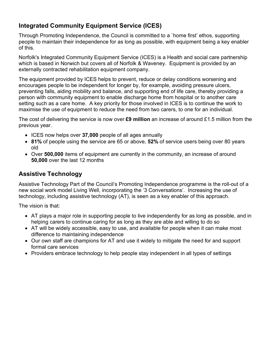## **Integrated Community Equipment Service (ICES)**

Through Promoting Independence, the Council is committed to a `home first' ethos, supporting people to maintain their independence for as long as possible, with equipment being a key enabler of this.

Norfolk's Integrated Community Equipment Service (ICES) is a Health and social care partnership which is based in Norwich but covers all of Norfolk & Waveney. Equipment is provided by an externally contracted rehabilitation equipment company.

The equipment provided by ICES helps to prevent, reduce or delay conditions worsening and encourages people to be independent for longer by, for example, avoiding pressure ulcers, preventing falls, aiding mobility and balance, and supporting end of life care, thereby providing a person with community equipment to enable discharge home from hospital or to another care setting such as a care home. A key priority for those involved in ICES is to continue the work to maximise the use of equipment to reduce the need from two carers, to one for an individual.

The cost of delivering the service is now over **£9 million** an increase of around £1.5 million from the previous year.

- ICES now helps over **37,000** people of all ages annually
- **81%** of people using the service are 65 or above, **52%** of service users being over 80 years old
- Over **500,000** items of equipment are currently in the community, an increase of around **50,000** over the last 12 months

## **Assistive Technology**

Assistive Technology Part of the Council's Promoting Independence programme is the roll-out of a new social work model Living Well, incorporating the '3 Conversations'. Increasing the use of technology, including assistive technology (AT), is seen as a key enabler of this approach.

The vision is that:

- AT plays a major role in supporting people to live independently for as long as possible, and in helping carers to continue caring for as long as they are able and willing to do so
- AT will be widely accessible, easy to use, and available for people when it can make most difference to maintaining independence
- Our own staff are champions for AT and use it widely to mitigate the need for and support formal care services
- Providers embrace technology to help people stay independent in all types of settings